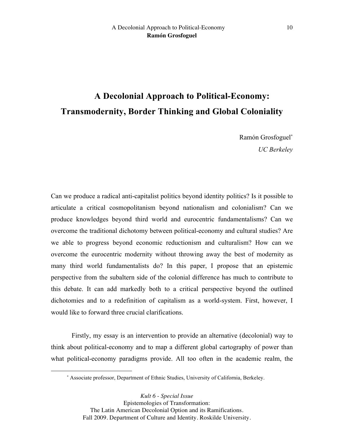# **A Decolonial Approach to Political-Economy: Transmodernity, Border Thinking and Global Coloniality**

Ramón Grosfoguel<sup>∗</sup> *UC Berkeley*

Can we produce a radical anti-capitalist politics beyond identity politics? Is it possible to articulate a critical cosmopolitanism beyond nationalism and colonialism? Can we produce knowledges beyond third world and eurocentric fundamentalisms? Can we overcome the traditional dichotomy between political-economy and cultural studies? Are we able to progress beyond economic reductionism and culturalism? How can we overcome the eurocentric modernity without throwing away the best of modernity as many third world fundamentalists do? In this paper, I propose that an epistemic perspective from the subaltern side of the colonial difference has much to contribute to this debate. It can add markedly both to a critical perspective beyond the outlined dichotomies and to a redefinition of capitalism as a world-system. First, however, I would like to forward three crucial clarifications.

Firstly, my essay is an intervention to provide an alternative (decolonial) way to think about political-economy and to map a different global cartography of power than what political-economy paradigms provide. All too often in the academic realm, the

 $\overline{a}$ 

<sup>∗</sup> Associate professor, Department of Ethnic Studies, University of California, Berkeley.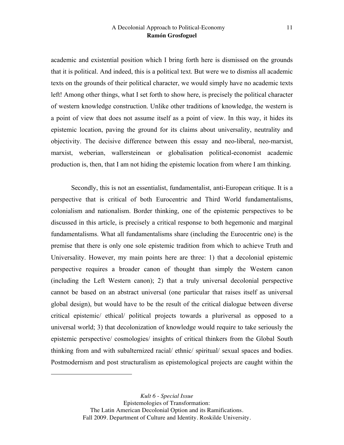academic and existential position which I bring forth here is dismissed on the grounds that it is political. And indeed, this is a political text. But were we to dismiss all academic texts on the grounds of their political character, we would simply have no academic texts left! Among other things, what I set forth to show here, is precisely the political character of western knowledge construction. Unlike other traditions of knowledge, the western is a point of view that does not assume itself as a point of view. In this way, it hides its epistemic location, paving the ground for its claims about universality, neutrality and objectivity. The decisive difference between this essay and neo-liberal, neo-marxist, marxist, weberian, wallersteinean or globalisation political-economist academic production is, then, that I am not hiding the epistemic location from where I am thinking.

Secondly, this is not an essentialist, fundamentalist, anti-European critique. It is a perspective that is critical of both Eurocentric and Third World fundamentalisms, colonialism and nationalism. Border thinking, one of the epistemic perspectives to be discussed in this article, is precisely a critical response to both hegemonic and marginal fundamentalisms. What all fundamentalisms share (including the Eurocentric one) is the premise that there is only one sole epistemic tradition from which to achieve Truth and Universality. However, my main points here are three: 1) that a decolonial epistemic perspective requires a broader canon of thought than simply the Western canon (including the Left Western canon); 2) that a truly universal decolonial perspective cannot be based on an abstract universal (one particular that raises itself as universal global design), but would have to be the result of the critical dialogue between diverse critical epistemic/ ethical/ political projects towards a pluriversal as opposed to a universal world; 3) that decolonization of knowledge would require to take seriously the epistemic perspective/ cosmologies/ insights of critical thinkers from the Global South thinking from and with subalternized racial/ ethnic/ spiritual/ sexual spaces and bodies. Postmodernism and post structuralism as epistemological projects are caught within the

 $\overline{a}$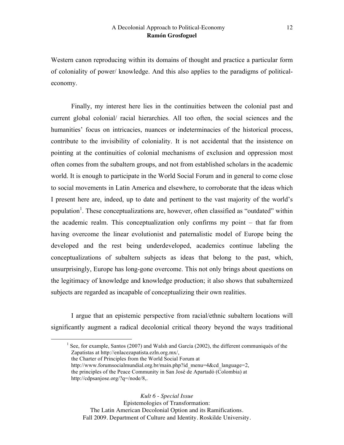Western canon reproducing within its domains of thought and practice a particular form of coloniality of power/ knowledge. And this also applies to the paradigms of politicaleconomy.

Finally, my interest here lies in the continuities between the colonial past and current global colonial/ racial hierarchies. All too often, the social sciences and the humanities' focus on intricacies, nuances or indeterminacies of the historical process, contribute to the invisibility of coloniality. It is not accidental that the insistence on pointing at the continuities of colonial mechanisms of exclusion and oppression most often comes from the subaltern groups, and not from established scholars in the academic world. It is enough to participate in the World Social Forum and in general to come close to social movements in Latin America and elsewhere, to corroborate that the ideas which I present here are, indeed, up to date and pertinent to the vast majority of the world's population<sup>1</sup>. These conceptualizations are, however, often classified as "outdated" within the academic realm. This conceptualization only confirms my point – that far from having overcome the linear evolutionist and paternalistic model of Europe being the developed and the rest being underdeveloped, academics continue labeling the conceptualizations of subaltern subjects as ideas that belong to the past, which, unsurprisingly, Europe has long-gone overcome. This not only brings about questions on the legitimacy of knowledge and knowledge production; it also shows that subalternized subjects are regarded as incapable of conceptualizing their own realities.

I argue that an epistemic perspective from racial/ethnic subaltern locations will significantly augment a radical decolonial critical theory beyond the ways traditional

<sup>1</sup> See, for example, Santos (2007) and Walsh and García (2002), the different communiqués of the Zapatistas at http://enlacezapatista.ezln.org.mx/,

the Charter of Principles from the World Social Forum at

http://www.forumsocialmundial.org.br/main.php?id\_menu=4&cd\_language=2, the principles of the Peace Community in San José de Apartadó (Colombia) at http://cdpsanjose.org/?q=/node/8,.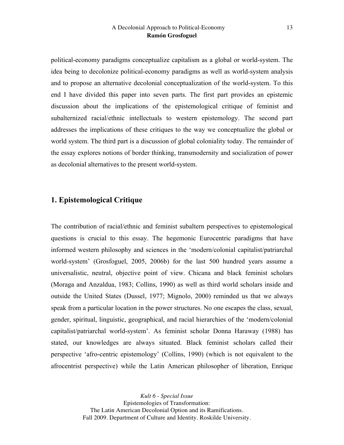political-economy paradigms conceptualize capitalism as a global or world-system. The idea being to decolonize political-economy paradigms as well as world-system analysis and to propose an alternative decolonial conceptualization of the world-system. To this end I have divided this paper into seven parts. The first part provides an epistemic discussion about the implications of the epistemological critique of feminist and subalternized racial/ethnic intellectuals to western epistemology. The second part addresses the implications of these critiques to the way we conceptualize the global or world system. The third part is a discussion of global coloniality today. The remainder of the essay explores notions of border thinking, transmodernity and socialization of power as decolonial alternatives to the present world-system.

# **1. Epistemological Critique**

The contribution of racial/ethnic and feminist subaltern perspectives to epistemological questions is crucial to this essay. The hegemonic Eurocentric paradigms that have informed western philosophy and sciences in the 'modern/colonial capitalist/patriarchal world-system' (Grosfoguel, 2005, 2006b) for the last 500 hundred years assume a universalistic, neutral, objective point of view. Chicana and black feminist scholars (Moraga and Anzaldua, 1983; Collins, 1990) as well as third world scholars inside and outside the United States (Dussel, 1977; Mignolo, 2000) reminded us that we always speak from a particular location in the power structures. No one escapes the class, sexual, gender, spiritual, linguistic, geographical, and racial hierarchies of the 'modern/colonial capitalist/patriarchal world-system'. As feminist scholar Donna Haraway (1988) has stated, our knowledges are always situated. Black feminist scholars called their perspective 'afro-centric epistemology' (Collins, 1990) (which is not equivalent to the afrocentrist perspective) while the Latin American philosopher of liberation, Enrique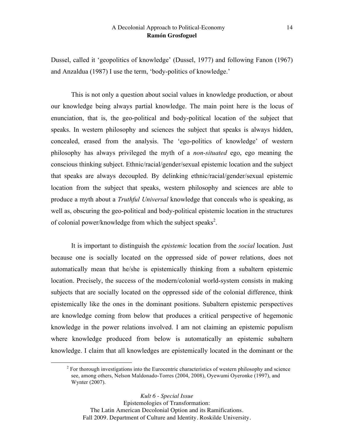Dussel, called it 'geopolitics of knowledge' (Dussel, 1977) and following Fanon (1967) and Anzaldua (1987) I use the term, 'body-politics of knowledge.'

This is not only a question about social values in knowledge production, or about our knowledge being always partial knowledge. The main point here is the locus of enunciation, that is, the geo-political and body-political location of the subject that speaks. In western philosophy and sciences the subject that speaks is always hidden, concealed, erased from the analysis. The 'ego-politics of knowledge' of western philosophy has always privileged the myth of a *non-situated* ego, ego meaning the conscious thinking subject. Ethnic/racial/gender/sexual epistemic location and the subject that speaks are always decoupled. By delinking ethnic/racial/gender/sexual epistemic location from the subject that speaks, western philosophy and sciences are able to produce a myth about a *Truthful Universal* knowledge that conceals who is speaking, as well as, obscuring the geo-political and body-political epistemic location in the structures of colonial power/knowledge from which the subject speaks<sup>2</sup>.

It is important to distinguish the *epistemic* location from the *social* location. Just because one is socially located on the oppressed side of power relations, does not automatically mean that he/she is epistemically thinking from a subaltern epistemic location. Precisely, the success of the modern/colonial world-system consists in making subjects that are socially located on the oppressed side of the colonial difference, think epistemically like the ones in the dominant positions. Subaltern epistemic perspectives are knowledge coming from below that produces a critical perspective of hegemonic knowledge in the power relations involved. I am not claiming an epistemic populism where knowledge produced from below is automatically an epistemic subaltern knowledge. I claim that all knowledges are epistemically located in the dominant or the

<sup>&</sup>lt;sup>2</sup> For thorough investigations into the Eurocentric characteristics of western philosophy and science see, among others, Nelson Maldonado-Torres (2004, 2008), Oyewumi Oyeronke (1997), and Wynter (2007).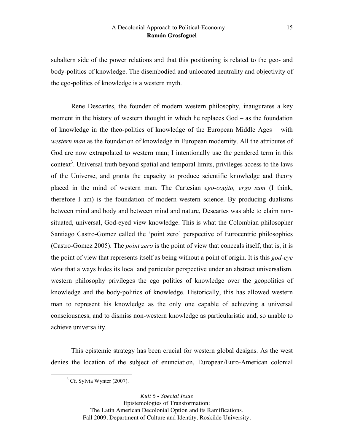subaltern side of the power relations and that this positioning is related to the geo- and body-politics of knowledge. The disembodied and unlocated neutrality and objectivity of the ego-politics of knowledge is a western myth.

Rene Descartes, the founder of modern western philosophy, inaugurates a key moment in the history of western thought in which he replaces God – as the foundation of knowledge in the theo-politics of knowledge of the European Middle Ages – with *western man* as the foundation of knowledge in European modernity. All the attributes of God are now extrapolated to western man; I intentionally use the gendered term in this context<sup>3</sup>. Universal truth beyond spatial and temporal limits, privileges access to the laws of the Universe, and grants the capacity to produce scientific knowledge and theory placed in the mind of western man. The Cartesian *ego-cogito, ergo sum* (I think, therefore I am) is the foundation of modern western science. By producing dualisms between mind and body and between mind and nature, Descartes was able to claim nonsituated, universal, God-eyed view knowledge. This is what the Colombian philosopher Santiago Castro-Gomez called the 'point zero' perspective of Eurocentric philosophies (Castro-Gomez 2005). The *point zero* is the point of view that conceals itself; that is, it is the point of view that represents itself as being without a point of origin. It is this *god-eye view* that always hides its local and particular perspective under an abstract universalism. western philosophy privileges the ego politics of knowledge over the geopolitics of knowledge and the body-politics of knowledge. Historically, this has allowed western man to represent his knowledge as the only one capable of achieving a universal consciousness, and to dismiss non-western knowledge as particularistic and, so unable to achieve universality.

This epistemic strategy has been crucial for western global designs. As the west denies the location of the subject of enunciation, European/Euro-American colonial

<sup>&</sup>lt;sup>3</sup> Cf. Sylvia Wynter (2007).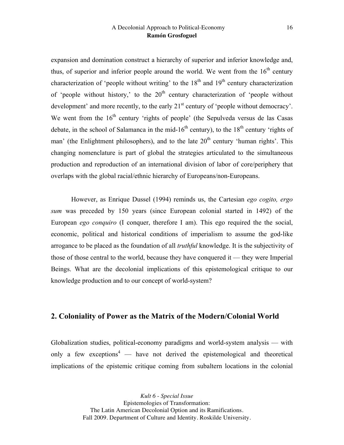expansion and domination construct a hierarchy of superior and inferior knowledge and, thus, of superior and inferior people around the world. We went from the  $16<sup>th</sup>$  century characterization of 'people without writing' to the  $18<sup>th</sup>$  and  $19<sup>th</sup>$  century characterization of 'people without history,' to the  $20<sup>th</sup>$  century characterization of 'people without development' and more recently, to the early 21<sup>st</sup> century of 'people without democracy'. We went from the  $16<sup>th</sup>$  century 'rights of people' (the Sepulveda versus de las Casas debate, in the school of Salamanca in the mid-16<sup>th</sup> century), to the  $18<sup>th</sup>$  century 'rights of man' (the Enlightment philosophers), and to the late  $20<sup>th</sup>$  century 'human rights'. This changing nomenclature is part of global the strategies articulated to the simultaneous production and reproduction of an international division of labor of core/periphery that overlaps with the global racial/ethnic hierarchy of Europeans/non-Europeans.

However, as Enrique Dussel (1994) reminds us, the Cartesian *ego cogito, ergo sum* was preceded by 150 years (since European colonial started in 1492) of the European *ego conquiro* (I conquer, therefore I am). This ego required the the social, economic, political and historical conditions of imperialism to assume the god-like arrogance to be placed as the foundation of all *truthful* knowledge. It is the subjectivity of those of those central to the world, because they have conquered it — they were Imperial Beings. What are the decolonial implications of this epistemological critique to our knowledge production and to our concept of world-system?

# **2. Coloniality of Power as the Matrix of the Modern/Colonial World**

Globalization studies, political-economy paradigms and world-system analysis — with only a few exceptions<sup>4</sup> — have not derived the epistemological and theoretical implications of the epistemic critique coming from subaltern locations in the colonial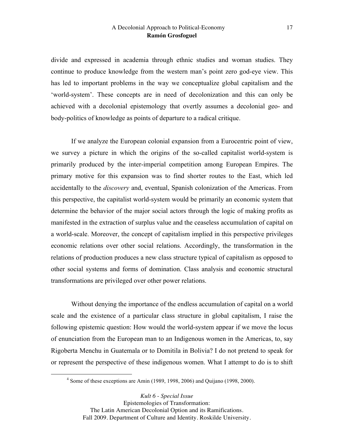divide and expressed in academia through ethnic studies and woman studies. They continue to produce knowledge from the western man's point zero god-eye view. This has led to important problems in the way we conceptualize global capitalism and the 'world-system'. These concepts are in need of decolonization and this can only be achieved with a decolonial epistemology that overtly assumes a decolonial geo- and body-politics of knowledge as points of departure to a radical critique.

If we analyze the European colonial expansion from a Eurocentric point of view, we survey a picture in which the origins of the so-called capitalist world-system is primarily produced by the inter-imperial competition among European Empires. The primary motive for this expansion was to find shorter routes to the East, which led accidentally to the *discovery* and, eventual, Spanish colonization of the Americas. From this perspective, the capitalist world-system would be primarily an economic system that determine the behavior of the major social actors through the logic of making profits as manifested in the extraction of surplus value and the ceaseless accumulation of capital on a world-scale. Moreover, the concept of capitalism implied in this perspective privileges economic relations over other social relations. Accordingly, the transformation in the relations of production produces a new class structure typical of capitalism as opposed to other social systems and forms of domination. Class analysis and economic structural transformations are privileged over other power relations.

Without denying the importance of the endless accumulation of capital on a world scale and the existence of a particular class structure in global capitalism, I raise the following epistemic question: How would the world-system appear if we move the locus of enunciation from the European man to an Indigenous women in the Americas, to, say Rigoberta Menchu in Guatemala or to Domitila in Bolivia? I do not pretend to speak for or represent the perspective of these indigenous women. What I attempt to do is to shift

<sup>4</sup> Some of these exceptions are Amin (1989, 1998, 2006) and Quijano (1998, 2000).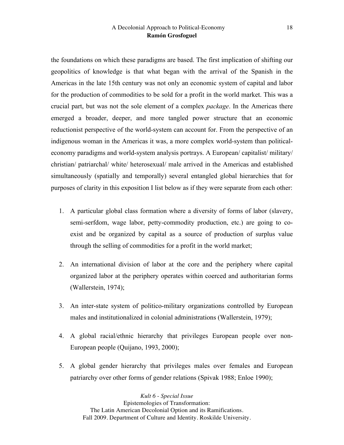the foundations on which these paradigms are based. The first implication of shifting our geopolitics of knowledge is that what began with the arrival of the Spanish in the Americas in the late 15th century was not only an economic system of capital and labor for the production of commodities to be sold for a profit in the world market. This was a crucial part, but was not the sole element of a complex *package*. In the Americas there emerged a broader, deeper, and more tangled power structure that an economic reductionist perspective of the world-system can account for. From the perspective of an indigenous woman in the Americas it was, a more complex world-system than politicaleconomy paradigms and world-system analysis portrays. A European/ capitalist/ military/ christian/ patriarchal/ white/ heterosexual/ male arrived in the Americas and established simultaneously (spatially and temporally) several entangled global hierarchies that for purposes of clarity in this exposition I list below as if they were separate from each other:

- 1. A particular global class formation where a diversity of forms of labor (slavery, semi-serfdom, wage labor, petty-commodity production, etc.) are going to coexist and be organized by capital as a source of production of surplus value through the selling of commodities for a profit in the world market;
- 2. An international division of labor at the core and the periphery where capital organized labor at the periphery operates within coerced and authoritarian forms (Wallerstein, 1974);
- 3. An inter-state system of politico-military organizations controlled by European males and institutionalized in colonial administrations (Wallerstein, 1979);
- 4. A global racial/ethnic hierarchy that privileges European people over non-European people (Quijano, 1993, 2000);
- 5. A global gender hierarchy that privileges males over females and European patriarchy over other forms of gender relations (Spivak 1988; Enloe 1990);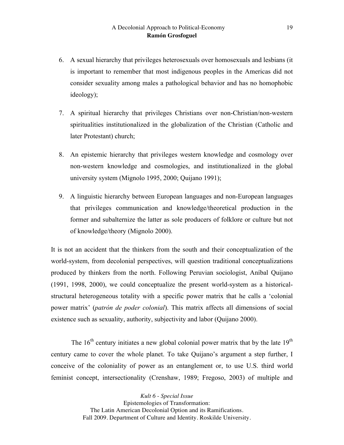- 6. A sexual hierarchy that privileges heterosexuals over homosexuals and lesbians (it is important to remember that most indigenous peoples in the Americas did not consider sexuality among males a pathological behavior and has no homophobic ideology);
- 7. A spiritual hierarchy that privileges Christians over non-Christian/non-western spiritualities institutionalized in the globalization of the Christian (Catholic and later Protestant) church;
- 8. An epistemic hierarchy that privileges western knowledge and cosmology over non-western knowledge and cosmologies, and institutionalized in the global university system (Mignolo 1995, 2000; Quijano 1991);
- 9. A linguistic hierarchy between European languages and non-European languages that privileges communication and knowledge/theoretical production in the former and subalternize the latter as sole producers of folklore or culture but not of knowledge/theory (Mignolo 2000).

It is not an accident that the thinkers from the south and their conceptualization of the world-system, from decolonial perspectives, will question traditional conceptualizations produced by thinkers from the north. Following Peruvian sociologist, Aníbal Quijano (1991, 1998, 2000), we could conceptualize the present world-system as a historicalstructural heterogeneous totality with a specific power matrix that he calls a 'colonial power matrix' (*patrón de poder colonial*). This matrix affects all dimensions of social existence such as sexuality, authority, subjectivity and labor (Quijano 2000).

The  $16<sup>th</sup>$  century initiates a new global colonial power matrix that by the late  $19<sup>th</sup>$ century came to cover the whole planet. To take Quijano's argument a step further, I conceive of the coloniality of power as an entanglement or, to use U.S. third world feminist concept, intersectionality (Crenshaw, 1989; Fregoso, 2003) of multiple and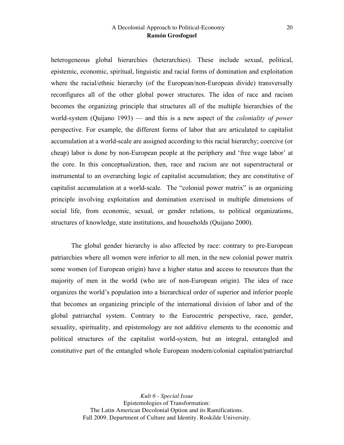heterogeneous global hierarchies (heterarchies). These include sexual, political, epistemic, economic, spiritual, linguistic and racial forms of domination and exploitation where the racial/ethnic hierarchy (of the European/non-European divide) transversally reconfigures all of the other global power structures. The idea of race and racism becomes the organizing principle that structures all of the multiple hierarchies of the world-system (Quijano 1993) — and this is a new aspect of the *coloniality of power* perspective. For example, the different forms of labor that are articulated to capitalist accumulation at a world-scale are assigned according to this racial hierarchy; coercive (or cheap) labor is done by non-European people at the periphery and 'free wage labor' at the core. In this conceptualization, then, race and racism are not superstructural or instrumental to an overarching logic of capitalist accumulation; they are constitutive of capitalist accumulation at a world-scale. The "colonial power matrix" is an organizing principle involving exploitation and domination exercised in multiple dimensions of social life, from economic, sexual, or gender relations, to political organizations, structures of knowledge, state institutions, and households (Quijano 2000).

The global gender hierarchy is also affected by race: contrary to pre-European patriarchies where all women were inferior to all men, in the new colonial power matrix some women (of European origin) have a higher status and access to resources than the majority of men in the world (who are of non-European origin). The idea of race organizes the world's population into a hierarchical order of superior and inferior people that becomes an organizing principle of the international division of labor and of the global patriarchal system. Contrary to the Eurocentric perspective, race, gender, sexuality, spirituality, and epistemology are not additive elements to the economic and political structures of the capitalist world-system, but an integral, entangled and constitutive part of the entangled whole European modern/colonial capitalist/patriarchal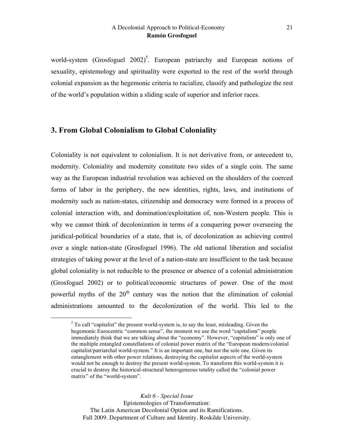world-system (Grosfoguel  $2002$ )<sup>5</sup>. European patriarchy and European notions of sexuality, epistemology and spirituality were exported to the rest of the world through colonial expansion as the hegemonic criteria to racialize, classify and pathologize the rest of the world's population within a sliding scale of superior and inferior races.

# **3. From Global Colonialism to Global Coloniality**

Coloniality is not equivalent to colonialism. It is not derivative from, or antecedent to, modernity. Coloniality and modernity constitute two sides of a single coin. The same way as the European industrial revolution was achieved on the shoulders of the coerced forms of labor in the periphery, the new identities, rights, laws, and institutions of modernity such as nation-states, citizenship and democracy were formed in a process of colonial interaction with, and domination/exploitation of, non-Western people. This is why we cannot think of decolonization in terms of a conquering power overseeing the juridical-political boundaries of a state, that is, of decolonization as achieving control over a single nation-state (Grosfoguel 1996). The old national liberation and socialist strategies of taking power at the level of a nation-state are insufficient to the task because global coloniality is not reducible to the presence or absence of a colonial administration (Grosfoguel 2002) or to political/economic structures of power. One of the most powerful myths of the  $20<sup>th</sup>$  century was the notion that the elimination of colonial administrations amounted to the decolonization of the world. This led to the

 $5$  To call "capitalist" the present world-system is, to say the least, misleading. Given the hegemonic Eurocentric "common sense", the moment we use the word "capitalism" people immediately think that we are talking about the "economy". However, "capitalism" is only one of the multiple entangled constellations of colonial power matrix of the "European modern/colonial capitalist/patriarchal world-system." It is an important one, but not the sole one. Given its entanglement with other power relations, destroying the capitalist aspects of the world-system would not be enough to destroy the present world-system. To transform this world-system it is crucial to destroy the historical-structural heterogeneous totality called the "colonial power matrix" of the "world-system".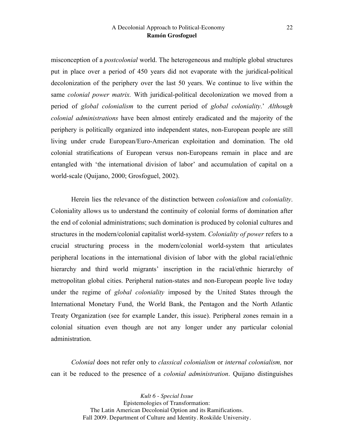misconception of a *postcolonial* world. The heterogeneous and multiple global structures put in place over a period of 450 years did not evaporate with the juridical-political decolonization of the periphery over the last 50 years. We continue to live within the same *colonial power matrix.* With juridical-political decolonization we moved from a period of *global colonialism* to the current period of *global coloniality*.' *Although colonial administrations* have been almost entirely eradicated and the majority of the periphery is politically organized into independent states, non-European people are still living under crude European/Euro-American exploitation and domination. The old colonial stratifications of European versus non-Europeans remain in place and are entangled with 'the international division of labor' and accumulation of capital on a world-scale (Quijano, 2000; Grosfoguel, 2002).

Herein lies the relevance of the distinction between *colonialism* and *coloniality*. Coloniality allows us to understand the continuity of colonial forms of domination after the end of colonial administrations; such domination is produced by colonial cultures and structures in the modern/colonial capitalist world-system. *Coloniality of power* refers to a crucial structuring process in the modern/colonial world-system that articulates peripheral locations in the international division of labor with the global racial/ethnic hierarchy and third world migrants' inscription in the racial/ethnic hierarchy of metropolitan global cities. Peripheral nation-states and non-European people live today under the regime of *global coloniality* imposed by the United States through the International Monetary Fund, the World Bank, the Pentagon and the North Atlantic Treaty Organization (see for example Lander, this issue). Peripheral zones remain in a colonial situation even though are not any longer under any particular colonial administration.

*Colonial* does not refer only to *classical colonialism* or *internal colonialism,* nor can it be reduced to the presence of a *colonial administration*. Quijano distinguishes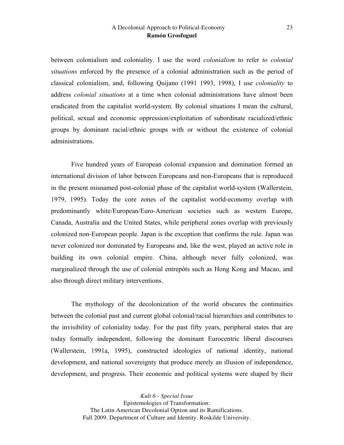between colonialism and coloniality. I use the word *colonialism* to refer *to colonial situations* enforced by the presence of a colonial administration such as the period of classical colonialism, and, following Quijano (1991 1993, 1998), I use *coloniality* to address *colonial situations* at a time when colonial administrations have almost been eradicated from the capitalist world-system. By colonial situations I mean the cultural, political, sexual and economic oppression/exploitation of subordinate racialized/ethnic groups by dominant racial/ethnic groups with or without the existence of colonial administrations.

Five hundred years of European colonial expansion and domination formed an international division of labor between Europeans and non-Europeans that is reproduced in the present misnamed post-colonial phase of the capitalist world-system (Wallerstein, 1979, 1995). Today the core zones of the capitalist world-economy overlap with predominantly white/European/Euro-American societies such as western Europe, Canada, Australia and the United States, while peripheral zones overlap with previously colonized non-European people. Japan is the exception that confirms the rule. Japan was never colonized nor dominated by Europeans and, like the west, played an active role in building its own colonial empire. China, although never fully colonized, was marginalized through the use of colonial entrepôts such as Hong Kong and Macao, and also through direct military interventions.

The mythology of the decolonization of the world obscures the continuities between the colonial past and current global colonial/racial hierarchies and contributes to the invisibility of coloniality today. For the past fifty years, peripheral states that are today formally independent, following the dominant Eurocentric liberal discourses (Wallerstein, 1991a, 1995), constructed ideologies of national identity, national development, and national sovereignty that produce merely an illusion of independence, development, and progress. Their economic and political systems were shaped by their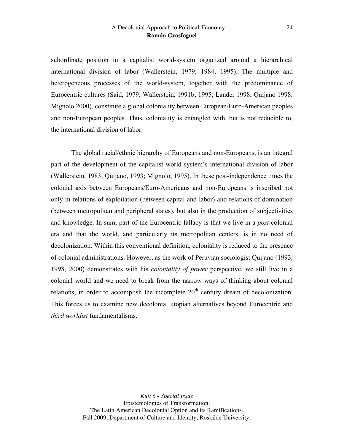subordinate position in a capitalist world-system organized around a hierarchical international division of labor (Wallerstein, 1979, 1984, 1995). The multiple and heterogeneous processes of the world-system, together with the predominance of Eurocentric cultures (Said, 1979; Wallerstein, 1991b; 1995; Lander 1998; Quijano 1998; Mignolo 2000), constitute a global coloniality between European/Euro-American peoples and non-European peoples. Thus, coloniality is entangled with, but is not reducible to, the international division of labor.

The global racial/ethnic hierarchy of Europeans and non-Europeans, is an integral part of the development of the capitalist world system's international division of labor (Wallerstein, 1983; Quijano, 1993; Mignolo, 1995). In these post-independence times the colonial axis between Europeans/Euro-Americans and non-Europeans is inscribed not only in relations of exploitation (between capital and labor) and relations of domination (between metropolitan and peripheral states), but also in the production of subjectivities and knowledge. In sum, part of the Eurocentric fallacy is that we live in a *post*-colonial era and that the world, and particularly its metropolitan centers, is in no need of decolonization. Within this conventional definition, coloniality is reduced to the presence of colonial administrations. However, as the work of Peruvian sociologist Quijano (1993, 1998, 2000) demonstrates with his *coloniality of power* perspective, we still live in a colonial world and we need to break from the narrow ways of thinking about colonial relations, in order to accomplish the incomplete  $20<sup>th</sup>$  century dream of decolonization. This forces us to examine new decolonial utopian alternatives beyond Eurocentric and *third worldist* fundamentalisms.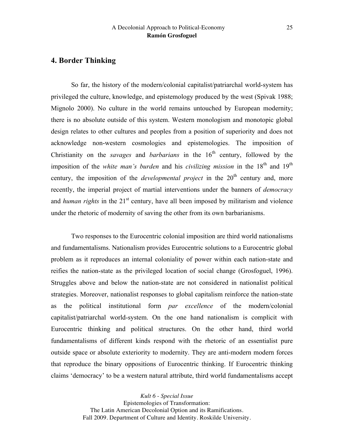# **4. Border Thinking**

So far, the history of the modern/colonial capitalist/patriarchal world-system has privileged the culture, knowledge, and epistemology produced by the west (Spivak 1988; Mignolo 2000). No culture in the world remains untouched by European modernity; there is no absolute outside of this system. Western monologism and monotopic global design relates to other cultures and peoples from a position of superiority and does not acknowledge non-western cosmologies and epistemologies. The imposition of Christianity on the *savages* and *barbarians* in the  $16<sup>th</sup>$  century, followed by the imposition of the *white man's burden* and his *civilizing mission* in the 18<sup>th</sup> and 19<sup>th</sup> century, the imposition of the *developmental project* in the  $20<sup>th</sup>$  century and, more recently, the imperial project of martial interventions under the banners of *democracy* and *human rights* in the 21<sup>st</sup> century, have all been imposed by militarism and violence under the rhetoric of modernity of saving the other from its own barbarianisms.

Two responses to the Eurocentric colonial imposition are third world nationalisms and fundamentalisms. Nationalism provides Eurocentric solutions to a Eurocentric global problem as it reproduces an internal coloniality of power within each nation-state and reifies the nation-state as the privileged location of social change (Grosfoguel, 1996). Struggles above and below the nation-state are not considered in nationalist political strategies. Moreover, nationalist responses to global capitalism reinforce the nation-state as the political institutional form *par excellence* of the modern/colonial capitalist/patriarchal world-system. On the one hand nationalism is complicit with Eurocentric thinking and political structures. On the other hand, third world fundamentalisms of different kinds respond with the rhetoric of an essentialist pure outside space or absolute exteriority to modernity. They are anti-modern modern forces that reproduce the binary oppositions of Eurocentric thinking. If Eurocentric thinking claims 'democracy' to be a western natural attribute, third world fundamentalisms accept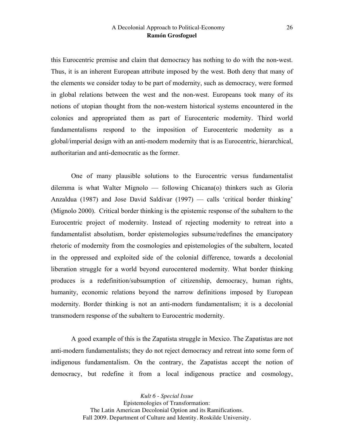this Eurocentric premise and claim that democracy has nothing to do with the non-west. Thus, it is an inherent European attribute imposed by the west. Both deny that many of the elements we consider today to be part of modernity, such as democracy, were formed in global relations between the west and the non-west. Europeans took many of its notions of utopian thought from the non-western historical systems encountered in the colonies and appropriated them as part of Eurocenteric modernity. Third world fundamentalisms respond to the imposition of Eurocenteric modernity as a global/imperial design with an anti-modern modernity that is as Eurocentric, hierarchical, authoritarian and anti-democratic as the former.

One of many plausible solutions to the Eurocentric versus fundamentalist dilemma is what Walter Mignolo — following Chicana(o) thinkers such as Gloria Anzaldua (1987) and Jose David Saldivar (1997) — calls 'critical border thinking' (Mignolo 2000). Critical border thinking is the epistemic response of the subaltern to the Eurocentric project of modernity. Instead of rejecting modernity to retreat into a fundamentalist absolutism, border epistemologies subsume/redefines the emancipatory rhetoric of modernity from the cosmologies and epistemologies of the subaltern, located in the oppressed and exploited side of the colonial difference, towards a decolonial liberation struggle for a world beyond eurocentered modernity. What border thinking produces is a redefinition/subsumption of citizenship, democracy, human rights, humanity, economic relations beyond the narrow definitions imposed by European modernity. Border thinking is not an anti-modern fundamentalism; it is a decolonial transmodern response of the subaltern to Eurocentric modernity.

A good example of this is the Zapatista struggle in Mexico. The Zapatistas are not anti-modern fundamentalists; they do not reject democracy and retreat into some form of indigenous fundamentalism. On the contrary, the Zapatistas accept the notion of democracy, but redefine it from a local indigenous practice and cosmology,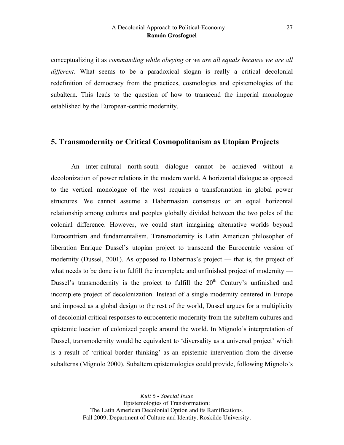conceptualizing it as *commanding while obeying* or *we are all equals because we are all different.* What seems to be a paradoxical slogan is really a critical decolonial redefinition of democracy from the practices, cosmologies and epistemologies of the subaltern. This leads to the question of how to transcend the imperial monologue established by the European-centric modernity.

### **5. Transmodernity or Critical Cosmopolitanism as Utopian Projects**

An inter-cultural north-south dialogue cannot be achieved without a decolonization of power relations in the modern world. A horizontal dialogue as opposed to the vertical monologue of the west requires a transformation in global power structures. We cannot assume a Habermasian consensus or an equal horizontal relationship among cultures and peoples globally divided between the two poles of the colonial difference. However, we could start imagining alternative worlds beyond Eurocentrism and fundamentalism. Transmodernity is Latin American philosopher of liberation Enrique Dussel's utopian project to transcend the Eurocentric version of modernity (Dussel, 2001). As opposed to Habermas's project — that is, the project of what needs to be done is to fulfill the incomplete and unfinished project of modernity — Dussel's transmodernity is the project to fulfill the  $20<sup>th</sup>$  Century's unfinished and incomplete project of decolonization. Instead of a single modernity centered in Europe and imposed as a global design to the rest of the world, Dussel argues for a multiplicity of decolonial critical responses to eurocenteric modernity from the subaltern cultures and epistemic location of colonized people around the world. In Mignolo's interpretation of Dussel, transmodernity would be equivalent to 'diversality as a universal project' which is a result of 'critical border thinking' as an epistemic intervention from the diverse subalterns (Mignolo 2000). Subaltern epistemologies could provide, following Mignolo's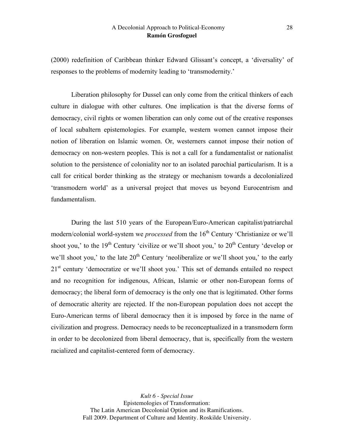(2000) redefinition of Caribbean thinker Edward Glissant's concept, a 'diversality' of responses to the problems of modernity leading to 'transmodernity.'

Liberation philosophy for Dussel can only come from the critical thinkers of each culture in dialogue with other cultures. One implication is that the diverse forms of democracy, civil rights or women liberation can only come out of the creative responses of local subaltern epistemologies. For example, western women cannot impose their notion of liberation on Islamic women. Or, westerners cannot impose their notion of democracy on non-western peoples. This is not a call for a fundamentalist or nationalist solution to the persistence of coloniality nor to an isolated parochial particularism. It is a call for critical border thinking as the strategy or mechanism towards a decolonialized 'transmodern world' as a universal project that moves us beyond Eurocentrism and fundamentalism.

During the last 510 years of the European/Euro-American capitalist/patriarchal modern/colonial world-system we *processed* from the 16<sup>th</sup> Century 'Christianize or we'll shoot you,' to the  $19<sup>th</sup>$  Century 'civilize or we'll shoot you,' to  $20<sup>th</sup>$  Century 'develop or we'll shoot you,' to the late  $20<sup>th</sup>$  Century 'neoliberalize or we'll shoot you,' to the early 21<sup>st</sup> century 'democratize or we'll shoot you.' This set of demands entailed no respect and no recognition for indigenous, African, Islamic or other non-European forms of democracy; the liberal form of democracy is the only one that is legitimated. Other forms of democratic alterity are rejected. If the non-European population does not accept the Euro-American terms of liberal democracy then it is imposed by force in the name of civilization and progress. Democracy needs to be reconceptualized in a transmodern form in order to be decolonized from liberal democracy, that is, specifically from the western racialized and capitalist-centered form of democracy.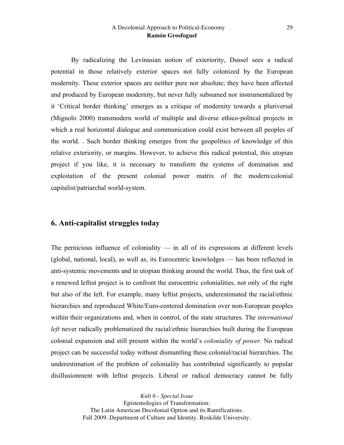By radicalizing the Levinasian notion of exteriority, Dussel sees a radical potential in those relatively exterior spaces not fully colonized by the European modernity. These exterior spaces are neither pure nor absolute; they have been affected and produced by European modernity, but never fully subsumed nor instrumentalized by it 'Critical border thinking' emerges as a critique of modernity towards a pluriversal (Mignolo 2000) transmodern world of multiple and diverse ethico-politcal projects in which a real horizontal dialogue and communication could exist between all peoples of the world. . Such border thinking emerges from the geopolitics of knowledge of this relative exteriority, or margins. However, to achieve this radical potential, this utopian project if you like, it is necessary to transform the systems of domination and exploitation of the present colonial power matrix of the modern/colonial capitalist/patriarchal world-system.

# **6. Anti-capitalist struggles today**

The pernicious influence of coloniality — in all of its expressions at different levels (global, national, local), as well as, its Eurocentric knowledges — has been reflected in anti-systemic movements and in utopian thinking around the world. Thus, the first task of a renewed leftist project is to confront the eurocentric colonialities, not only of the right but also of the left. For example, many leftist projects, underestimated the racial/ethnic hierarchies and reproduced White/Euro-centered domination over non-European peoples within their organizations and, when in control, of the state structures. The *international left* never radically problematized the racial/ethnic hierarchies built during the European colonial expansion and still present within the world's *coloniality of power.* No radical project can be successful today without dismantling these colonial/racial hierarchies. The underestimation of the problem of coloniality has contributed significantly to popular disillusionment with leftist projects. Liberal or radical democracy cannot be fully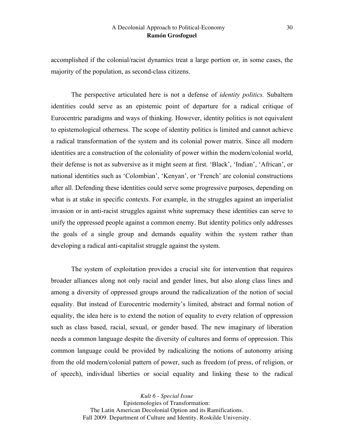accomplished if the colonial/racist dynamics treat a large portion or, in some cases, the majority of the population, as second-class citizens.

The perspective articulated here is not a defense of *identity politics.* Subaltern identities could serve as an epistemic point of departure for a radical critique of Eurocentric paradigms and ways of thinking. However, identity politics is not equivalent to epistemological otherness. The scope of identity politics is limited and cannot achieve a radical transformation of the system and its colonial power matrix. Since all modern identities are a construction of the coloniality of power within the modern/colonial world, their defense is not as subversive as it might seem at first. 'Black', 'Indian', 'African', or national identities such as 'Colombian', 'Kenyan', or 'French' are colonial constructions after all. Defending these identities could serve some progressive purposes, depending on what is at stake in specific contexts. For example, in the struggles against an imperialist invasion or in anti-racist struggles against white supremacy these identities can serve to unify the oppressed people against a common enemy. But identity politics only addresses the goals of a single group and demands equality within the system rather than developing a radical anti-capitalist struggle against the system.

The system of exploitation provides a crucial site for intervention that requires broader alliances along not only racial and gender lines, but also along class lines and among a diversity of oppressed groups around the radicalization of the notion of social equality. But instead of Eurocentric modernity's limited, abstract and formal notion of equality, the idea here is to extend the notion of equality to every relation of oppression such as class based, racial, sexual, or gender based. The new imaginary of liberation needs a common language despite the diversity of cultures and forms of oppression. This common language could be provided by radicalizing the notions of autonomy arising from the old modern/colonial pattern of power, such as freedom (of press, of religion, or of speech), individual liberties or social equality and linking these to the radical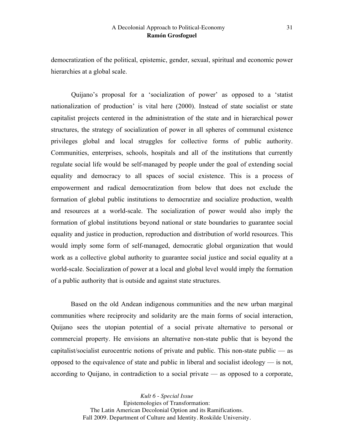democratization of the political, epistemic, gender, sexual, spiritual and economic power hierarchies at a global scale.

Quijano's proposal for a 'socialization of power' as opposed to a 'statist nationalization of production' is vital here (2000). Instead of state socialist or state capitalist projects centered in the administration of the state and in hierarchical power structures, the strategy of socialization of power in all spheres of communal existence privileges global and local struggles for collective forms of public authority. Communities, enterprises, schools, hospitals and all of the institutions that currently regulate social life would be self-managed by people under the goal of extending social equality and democracy to all spaces of social existence. This is a process of empowerment and radical democratization from below that does not exclude the formation of global public institutions to democratize and socialize production, wealth and resources at a world-scale. The socialization of power would also imply the formation of global institutions beyond national or state boundaries to guarantee social equality and justice in production, reproduction and distribution of world resources. This would imply some form of self-managed, democratic global organization that would work as a collective global authority to guarantee social justice and social equality at a world-scale. Socialization of power at a local and global level would imply the formation of a public authority that is outside and against state structures.

Based on the old Andean indigenous communities and the new urban marginal communities where reciprocity and solidarity are the main forms of social interaction, Quijano sees the utopian potential of a social private alternative to personal or commercial property. He envisions an alternative non-state public that is beyond the capitalist/socialist eurocentric notions of private and public. This non-state public — as opposed to the equivalence of state and public in liberal and socialist ideology — is not, according to Quijano, in contradiction to a social private — as opposed to a corporate,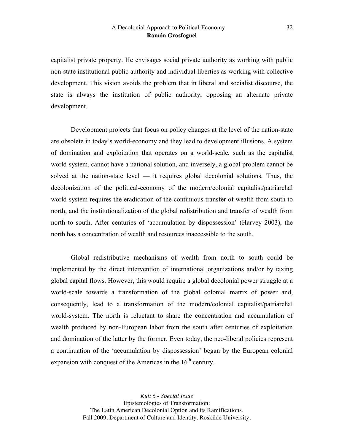capitalist private property. He envisages social private authority as working with public non-state institutional public authority and individual liberties as working with collective development. This vision avoids the problem that in liberal and socialist discourse, the state is always the institution of public authority, opposing an alternate private development.

Development projects that focus on policy changes at the level of the nation-state are obsolete in today's world-economy and they lead to development illusions. A system of domination and exploitation that operates on a world-scale, such as the capitalist world-system, cannot have a national solution, and inversely, a global problem cannot be solved at the nation-state level — it requires global decolonial solutions. Thus, the decolonization of the political-economy of the modern/colonial capitalist/patriarchal world-system requires the eradication of the continuous transfer of wealth from south to north, and the institutionalization of the global redistribution and transfer of wealth from north to south. After centuries of 'accumulation by dispossession' (Harvey 2003), the north has a concentration of wealth and resources inaccessible to the south.

Global redistributive mechanisms of wealth from north to south could be implemented by the direct intervention of international organizations and/or by taxing global capital flows. However, this would require a global decolonial power struggle at a world-scale towards a transformation of the global colonial matrix of power and, consequently, lead to a transformation of the modern/colonial capitalist/patriarchal world-system. The north is reluctant to share the concentration and accumulation of wealth produced by non-European labor from the south after centuries of exploitation and domination of the latter by the former. Even today, the neo-liberal policies represent a continuation of the 'accumulation by dispossession' began by the European colonial expansion with conquest of the Americas in the  $16<sup>th</sup>$  century.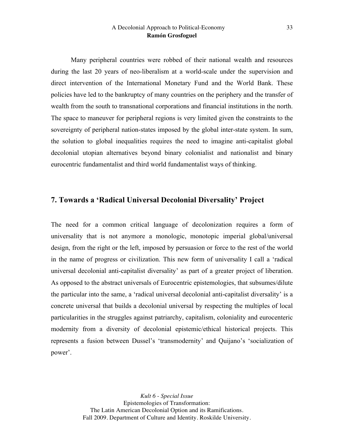Many peripheral countries were robbed of their national wealth and resources during the last 20 years of neo-liberalism at a world-scale under the supervision and direct intervention of the International Monetary Fund and the World Bank. These policies have led to the bankruptcy of many countries on the periphery and the transfer of wealth from the south to transnational corporations and financial institutions in the north. The space to maneuver for peripheral regions is very limited given the constraints to the sovereignty of peripheral nation-states imposed by the global inter-state system. In sum, the solution to global inequalities requires the need to imagine anti-capitalist global decolonial utopian alternatives beyond binary colonialist and nationalist and binary eurocentric fundamentalist and third world fundamentalist ways of thinking.

# **7. Towards a 'Radical Universal Decolonial Diversality' Project**

The need for a common critical language of decolonization requires a form of universality that is not anymore a monologic, monotopic imperial global/universal design, from the right or the left, imposed by persuasion or force to the rest of the world in the name of progress or civilization. This new form of universality I call a 'radical universal decolonial anti-capitalist diversality' as part of a greater project of liberation. As opposed to the abstract universals of Eurocentric epistemologies, that subsumes/dilute the particular into the same, a 'radical universal decolonial anti-capitalist diversality' is a concrete universal that builds a decolonial universal by respecting the multiples of local particularities in the struggles against patriarchy, capitalism, coloniality and eurocenteric modernity from a diversity of decolonial epistemic/ethical historical projects. This represents a fusion between Dussel's 'transmodernity' and Quijano's 'socialization of power'.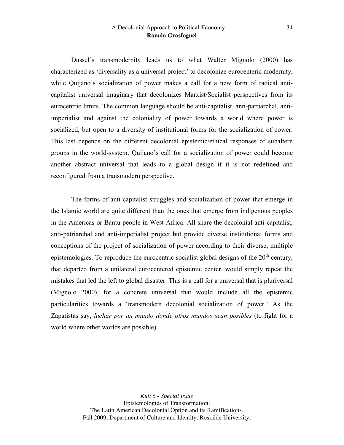Dussel's transmodernity leads us to what Walter Mignolo (2000) has characterized as 'diversality as a universal project' to decolonize eurocenteric modernity, while Quijano's socialization of power makes a call for a new form of radical anticapitalist universal imaginary that decolonizes Marxist/Socialist perspectives from its eurocentric limits. The common language should be anti-capitalist, anti-patriarchal, antiimperialist and against the coloniality of power towards a world where power is socialized, but open to a diversity of institutional forms for the socialization of power. This last depends on the different decolonial epistemic/ethical responses of subaltern groups in the world-system. Quijano's call for a socialization of power could become another abstract universal that leads to a global design if it is not redefined and reconfigured from a transmodern perspective.

The forms of anti-capitalist struggles and socialization of power that emerge in the Islamic world are quite different than the ones that emerge from indigenous peoples in the Americas or Bantu people in West Africa. All share the decolonial anti-capitalist, anti-patriarchal and anti-imperialist project but provide diverse institutional forms and conceptions of the project of socialization of power according to their diverse, multiple epistemologies. To reproduce the eurocentric socialist global designs of the  $20<sup>th</sup>$  century, that departed from a unilateral eurocentered epistemic center, would simply repeat the mistakes that led the left to global disaster. This is a call for a universal that is pluriversal (Mignolo 2000), for a concrete universal that would include all the epistemic particularities towards a 'transmodern decolonial socialization of power.' As the Zapatistas say, *luchar por un mundo donde otros mundos sean posibles* (to fight for a world where other worlds are possible).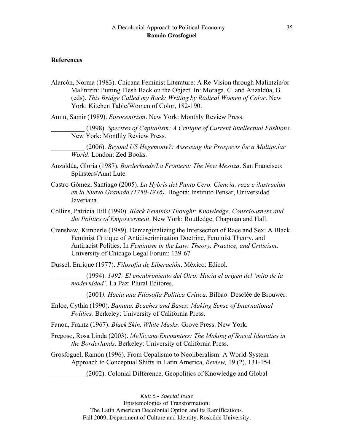#### **References**

Alarcón, Norma (1983). Chicana Feminist Literature: A Re-Vision through Malintzín/or Malintzín: Putting Flesh Back on the Object. In: Moraga, C. and Anzaldúa, G. (eds). *This Bridge Called my Back: Writing by Radical Women of Color*. New York: Kitchen Table/Women of Color, 182-190.

Amin, Samir (1989). *Eurocentrism*. New York: Monthly Review Press.

\_\_\_\_\_\_\_\_\_\_ (2006). *Beyond US Hegemony?: Assessing the Prospects for a Multipolar World*. London: Zed Books.

- Anzaldúa, Gloria (1987). *Borderlands/La Frontera: The New Mestiza*. San Francisco: Spinsters/Aunt Lute.
- Castro-Gómez, Santiago (2005). *La Hybris del Punto Cero. Ciencia, raza e ilustración en la Nueva Granada (1750-1816)*. Bogotá: Instituto Pensar, Universidad Javeriana.
- Collins, Patricia Hill (1990). *Black Feminist Thought: Knowledge, Consciousness and the Politics of Empowerment*. New York: Routledge, Chapman and Hall.
- Crenshaw, Kimberle (1989). Demarginalizing the Intersection of Race and Sex: A Black Feminist Critique of Antidiscrimination Doctrine, Feminist Theory, and Antiracist Politics. In *Feminism in the Law: Theory, Practice, and Criticism*. University of Chicago Legal Forum: 139-67

Dussel, Enrique (1977). *Filosofía de Liberación*. México: Edicol.

\_\_\_\_\_\_\_\_\_\_ (1994). *1492: El encubrimiento del Otro: Hacia el origen del 'mito de la modernidad'.* La Paz: Plural Editores.

\_\_\_\_\_\_\_\_\_\_ (2001*). Hacia una Filosofía Política Crítica*. Bilbao: Desclée de Brouwer.

- Enloe, Cythia (1990). *Banana, Beaches and Bases: Making Sense of International Politics.* Berkeley: University of California Press.
- Fanon, Frantz (1967). *Black Skin, White Masks*. Grove Press: New York.
- Fregoso, Rosa Linda (2003). *MeXicana Encounters: The Making of Social Identities in the Borderlands*. Berkeley: University of California Press.
- Grosfoguel, Ramón (1996). From Cepalismo to Neoliberalism: A World-System Approach to Conceptual Shifts in Latin America, *Review,* 19 (2), 131-154.

\_\_\_\_\_\_\_\_\_\_ (2002). Colonial Difference, Geopolitics of Knowledge and Global

\_\_\_\_\_\_\_\_\_\_ (1998). *Spectres of Capitalism: A Critique of Current Intellectual Fashions*. New York: Monthly Review Press.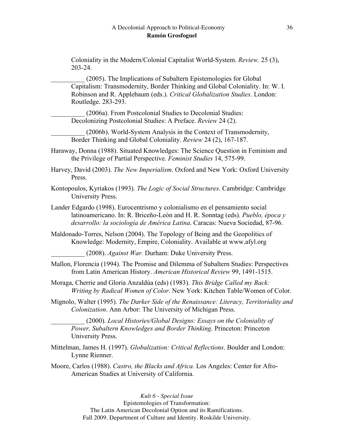Coloniality in the Modern/Colonial Capitalist World-System. *Review.* 25 (3), 203-24.

(2005). The Implications of Subaltern Epistemologies for Global Capitalism: Transmodernity, Border Thinking and Global Coloniality. In: W. I. Robinson and R. Applebaum (eds.). *Critical Globalization Studies*. London: Routledge. 283-293.

\_\_\_\_\_\_\_\_\_\_ (2006a). From Postcolonial Studies to Decolonial Studies: Decolonizing Postcolonial Studies: A Preface. *Review* 24 (2).

\_\_\_\_\_\_\_\_\_\_ (2006b). World-System Analysis in the Context of Transmodernity, Border Thinking and Global Coloniality. *Review* 24 (2), 167-187.

Haraway, Donna (1988). Situated Knowledges: The Science Question in Feminism and the Privilege of Partial Perspective. *Feminist Studies* 14, 575-99.

Harvey, David (2003). *The New Imperialism*. Oxford and New York: Oxford University Press.

- Kontopoulos, Kyriakos (1993). *The Logic of Social Structures*. Cambridge: Cambridge University Press.
- Lander Edgardo (1998). Eurocentrismo y colonialismo en el pensamiento social latinoamericano. In: R. Briceño-León and H. R. Sonntag (eds)*. Pueblo, época y desarrollo: la sociología de América Latina*. Caracas: Nueva Sociedad, 87-96.
- Maldonado-Torres, Nelson (2004). The Topology of Being and the Geopolitics of Knowledge: Modernity, Empire, Coloniality. Available at www.afyl.org

\_\_\_\_\_\_\_\_\_\_ (2008). *Against War.* Durham: Duke University Press.

- Mallon, Florencia (1994). The Promise and Dilemma of Subaltern Studies: Perspectives from Latin American History. *American Historical Review* 99, 1491-1515.
- Moraga, Cherrie and Gloria Anzaldúa (eds) (1983). *This Bridge Called my Back: Writing by Radical Women of Color*. New York: Kitchen Table/Women of Color.
- Mignolo, Walter (1995). *The Darker Side of the Renaissance: Literacy, Territoriality and Colonization*. Ann Arbor: The University of Michigan Press.

\_\_\_\_\_\_\_\_\_\_ (2000). *Local Histories/Global Designs: Essays on the Coloniality of Power, Subaltern Knowledges and Border Thinking*. Princeton: Princeton University Press.

- Mittelman, James H. (1997). *Globalization: Critical Reflections*. Boulder and London: Lynne Rienner.
- Moore, Carlos (1988). *Castro, the Blacks and Africa.* Los Angeles: Center for Afro-American Studies at University of California.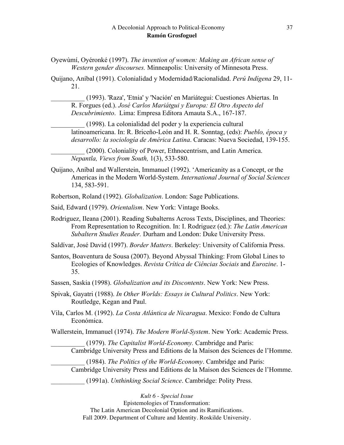Oyewùmí, Oyéronké (1997). *The invention of women: Making an African sense of Western gender discourses.* Minneapolis: University of Minnesota Press.

Quijano, Aníbal (1991). Colonialidad y Modernidad/Racionalidad. *Perú Indígena* 29, 11- 21.

\_\_\_\_\_\_\_\_\_\_ (1993). 'Raza', 'Etnia' y 'Nación' en Mariátegui: Cuestiones Abiertas. In R. Forgues (ed.). *José Carlos Mariátgui y Europa: El Otro Aspecto del Descubrimiento*. Lima: Empresa Editora Amauta S.A., 167-187.

\_\_\_\_\_\_\_\_\_\_ (1998). La colonialidad del poder y la experiencia cultural latinoamericana. In: R. Briceño-León and H. R. Sonntag, (eds): *Pueblo, época y desarrollo: la sociología de América Latina*. Caracas: Nueva Sociedad, 139-155.

\_\_\_\_\_\_\_\_\_\_ (2000). Coloniality of Power, Ethnocentrism, and Latin America. *Nepantla, Views from South,* 1(3), 533-580.

Quijano, Aníbal and Wallerstein, Immanuel (1992). 'Americanity as a Concept, or the Americas in the Modern World-System. *International Journal of Social Sciences*  134, 583-591.

Robertson, Roland (1992). *Globalization*. London: Sage Publications.

- Said, Edward (1979). *Orientalism*. New York: Vintage Books.
- Rodriguez, Ileana (2001). Reading Subalterns Across Texts, Disciplines, and Theories: From Representation to Recognition. In: I. Rodriguez (ed.): *The Latin American Subaltern Studies Reader.* Durham and London: Duke University Press.

Saldívar, José David (1997). *Border Matters*. Berkeley: University of California Press.

Santos, Boaventura de Sousa (2007). Beyond Abyssal Thinking: From Global Lines to Ecologies of Knowledges. *Revista Crítica de Ciências Sociais* and *Eurozine*. 1- 35.

- Sassen, Saskia (1998). *Globalization and its Discontents*. New York: New Press.
- Spivak, Gayatri (1988). *In Other Worlds: Essays in Cultural Politics*. New York: Routledge, Kegan and Paul.

Vila, Carlos M. (1992). *La Costa Atlántica de Nicaragua*. Mexico: Fondo de Cultura Económica.

Wallerstein, Immanuel (1974). *The Modern World-System*. New York: Academic Press.

\_\_\_\_\_\_\_\_\_\_ (1979). *The Capitalist World-Economy.* Cambridge and Paris: Cambridge University Press and Editions de la Maison des Sciences de l'Homme.

\_\_\_\_\_\_\_\_\_\_ (1984). *The Politics of the World-Economy*. Cambridge and Paris: Cambridge University Press and Editions de la Maison des Sciences de l'Homme.

\_\_\_\_\_\_\_\_\_\_ (1991a). *Unthinking Social Science*. Cambridge: Polity Press.

*Kult 6* - *Special Issue*